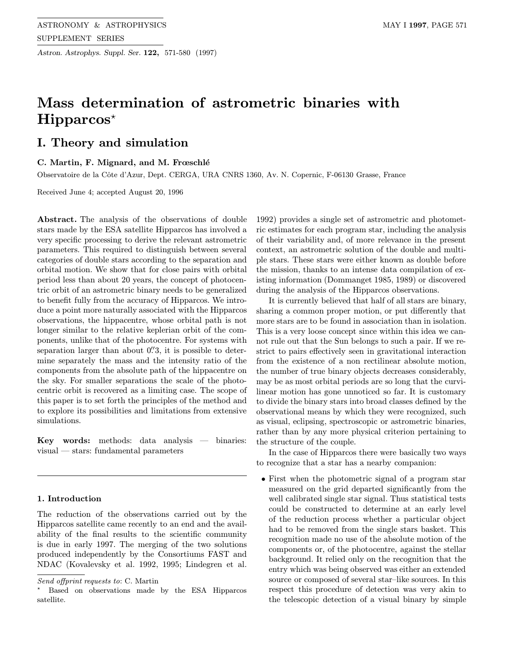Astron. Astrophys. Suppl. Ser. 122, 571-580 (1997)

# Mass determination of astrometric binaries with  $H$ ipparcos<sup>\*</sup>

# I. Theory and simulation

# C. Martin, F. Mignard, and M. Frœschlé

Observatoire de la Côte d'Azur, Dept. CERGA, URA CNRS 1360, Av. N. Copernic, F-06130 Grasse, France

Received June 4; accepted August 20, 1996

Abstract. The analysis of the observations of double stars made by the ESA satellite Hipparcos has involved a very specific processing to derive the relevant astrometric parameters. This required to distinguish between several categories of double stars according to the separation and orbital motion. We show that for close pairs with orbital period less than about 20 years, the concept of photocentric orbit of an astrometric binary needs to be generalized to benefit fully from the accuracy of Hipparcos. We introduce a point more naturally associated with the Hipparcos observations, the hippacentre, whose orbital path is not longer similar to the relative keplerian orbit of the components, unlike that of the photocentre. For systems with separation larger than about  $0\rlap{.}^{\prime\prime}3$ , it is possible to determine separately the mass and the intensity ratio of the components from the absolute path of the hippacentre on the sky. For smaller separations the scale of the photocentric orbit is recovered as a limiting case. The scope of this paper is to set forth the principles of the method and to explore its possibilities and limitations from extensive simulations.

Key words: methods: data analysis — binaries: visual — stars: fundamental parameters

# 1. Introduction

The reduction of the observations carried out by the Hipparcos satellite came recently to an end and the availability of the final results to the scientific community is due in early 1997. The merging of the two solutions produced independently by the Consortiums FAST and NDAC (Kovalevsky et al. 1992, 1995; Lindegren et al.

1992) provides a single set of astrometric and photometric estimates for each program star, including the analysis of their variability and, of more relevance in the present context, an astrometric solution of the double and multiple stars. These stars were either known as double before the mission, thanks to an intense data compilation of existing information (Dommanget 1985, 1989) or discovered during the analysis of the Hipparcos observations.

It is currently believed that half of all stars are binary, sharing a common proper motion, or put differently that more stars are to be found in association than in isolation. This is a very loose concept since within this idea we cannot rule out that the Sun belongs to such a pair. If we restrict to pairs effectively seen in gravitational interaction from the existence of a non rectilinear absolute motion, the number of true binary objects decreases considerably, may be as most orbital periods are so long that the curvilinear motion has gone unnoticed so far. It is customary to divide the binary stars into broad classes defined by the observational means by which they were recognized, such as visual, eclipsing, spectroscopic or astrometric binaries, rather than by any more physical criterion pertaining to the structure of the couple.

In the case of Hipparcos there were basically two ways to recognize that a star has a nearby companion:

• First when the photometric signal of a program star measured on the grid departed significantly from the well calibrated single star signal. Thus statistical tests could be constructed to determine at an early level of the reduction process whether a particular object had to be removed from the single stars basket. This recognition made no use of the absolute motion of the components or, of the photocentre, against the stellar background. It relied only on the recognition that the entry which was being observed was either an extended source or composed of several star–like sources. In this respect this procedure of detection was very akin to the telescopic detection of a visual binary by simple

Send offprint requests to: C. Martin

<sup>?</sup> Based on observations made by the ESA Hipparcos satellite.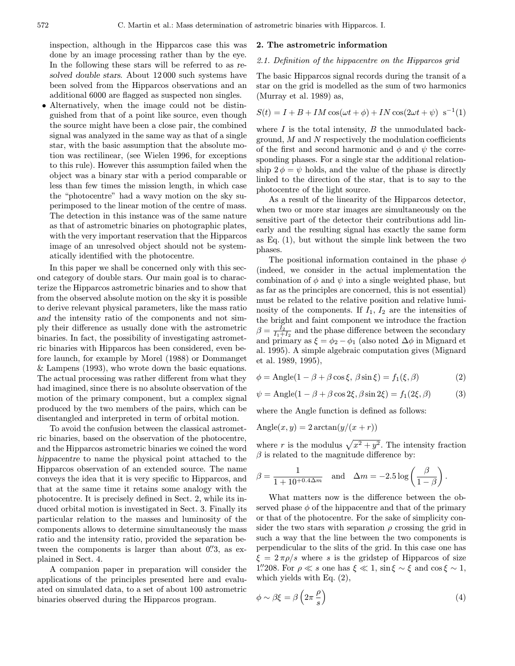inspection, although in the Hipparcos case this was done by an image processing rather than by the eye. In the following these stars will be referred to as resolved double stars. About 12 000 such systems have been solved from the Hipparcos observations and an additional 6000 are flagged as suspected non singles.

• Alternatively, when the image could not be distinguished from that of a point like source, even though the source might have been a close pair, the combined signal was analyzed in the same way as that of a single star, with the basic assumption that the absolute motion was rectilinear, (see Wielen 1996, for exceptions to this rule). However this assumption failed when the object was a binary star with a period comparable or less than few times the mission length, in which case the "photocentre" had a wavy motion on the sky superimposed to the linear motion of the centre of mass. The detection in this instance was of the same nature as that of astrometric binaries on photographic plates, with the very important reservation that the Hipparcos image of an unresolved object should not be systematically identified with the photocentre.

In this paper we shall be concerned only with this second category of double stars. Our main goal is to characterize the Hipparcos astrometric binaries and to show that from the observed absolute motion on the sky it is possible to derive relevant physical parameters, like the mass ratio and the intensity ratio of the components and not simply their difference as usually done with the astrometric binaries. In fact, the possibility of investigating astrometric binaries with Hipparcos has been considered, even before launch, for example by Morel (1988) or Dommanget & Lampens (1993), who wrote down the basic equations. The actual processing was rather different from what they had imagined, since there is no absolute observation of the motion of the primary component, but a complex signal produced by the two members of the pairs, which can be disentangled and interpreted in term of orbital motion.

To avoid the confusion between the classical astrometric binaries, based on the observation of the photocentre, and the Hipparcos astrometric binaries we coined the word hippacentre to name the physical point attached to the Hipparcos observation of an extended source. The name conveys the idea that it is very specific to Hipparcos, and that at the same time it retains some analogy with the photocentre. It is precisely defined in Sect. 2, while its induced orbital motion is investigated in Sect. 3. Finally its particular relation to the masses and luminosity of the components allows to determine simultaneously the mass ratio and the intensity ratio, provided the separation between the components is larger than about  $0\rlap{.}^{\prime\prime}3$ , as explained in Sect. 4.

A companion paper in preparation will consider the applications of the principles presented here and evaluated on simulated data, to a set of about 100 astrometric binaries observed during the Hipparcos program.

# 2. The astrometric information

#### 2.1. Definition of the hippacentre on the Hipparcos grid

The basic Hipparcos signal records during the transit of a star on the grid is modelled as the sum of two harmonics (Murray et al. 1989) as,

$$
S(t) = I + B + IM\cos(\omega t + \phi) + IN\cos(2\omega t + \psi) \, \text{s}^{-1}(1)
$$

where  $I$  is the total intensity,  $B$  the unmodulated background,  $M$  and  $N$  respectively the modulation coefficients of the first and second harmonic and  $\phi$  and  $\psi$  the corresponding phases. For a single star the additional relationship  $2 \phi = \psi$  holds, and the value of the phase is directly linked to the direction of the star, that is to say to the photocentre of the light source.

As a result of the linearity of the Hipparcos detector, when two or more star images are simultaneously on the sensitive part of the detector their contributions add linearly and the resulting signal has exactly the same form as Eq. (1), but without the simple link between the two phases.

The positional information contained in the phase  $\phi$ (indeed, we consider in the actual implementation the combination of  $\phi$  and  $\psi$  into a single weighted phase, but as far as the principles are concerned, this is not essential) must be related to the relative position and relative luminosity of the components. If  $I_1$ ,  $I_2$  are the intensities of the bright and faint component we introduce the fraction  $\beta = \frac{I_2}{I_1 + I_2}$  and the phase difference between the secondary and primary as  $\xi = \phi_2 - \phi_1$  (also noted  $\Delta \phi$  in Mignard et al. 1995). A simple algebraic computation gives (Mignard et al. 1989, 1995),

$$
\phi = \text{Angle}(1 - \beta + \beta \cos \xi, \ \beta \sin \xi) = f_1(\xi, \beta) \tag{2}
$$

$$
\psi = \text{Angle}(1 - \beta + \beta \cos 2\xi, \beta \sin 2\xi) = f_1(2\xi, \beta) \tag{3}
$$

where the Angle function is defined as follows:

$$
Angle(x, y) = 2\arctan(y/(x + r))
$$

where r is the modulus  $\sqrt{x^2 + y^2}$ . The intensity fraction  $\beta$  is related to the magnitude difference by:

$$
\beta = \frac{1}{1+10^{+0.4\Delta m}} \quad \text{and} \quad \Delta m = -2.5 \log \left( \frac{\beta}{1-\beta} \right).
$$

What matters now is the difference between the observed phase  $\phi$  of the hippacentre and that of the primary or that of the photocentre. For the sake of simplicity consider the two stars with separation  $\rho$  crossing the grid in such a way that the line between the two components is perpendicular to the slits of the grid. In this case one has  $\xi = 2 \pi \rho/s$  where s is the gridstep of Hipparcos of size 1.''208. For  $\rho \ll s$  one has  $\xi \ll 1$ ,  $\sin \xi \sim \xi$  and  $\cos \xi \sim 1$ , which yields with Eq. (2),

$$
\phi \sim \beta \xi = \beta \left( 2\pi \frac{\rho}{s} \right) \tag{4}
$$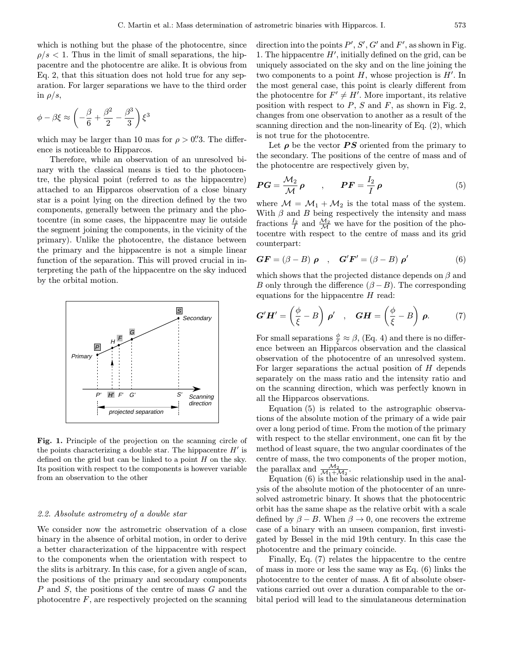which is nothing but the phase of the photocentre, since  $\rho/s < 1$ . Thus in the limit of small separations, the hippacentre and the photocentre are alike. It is obvious from Eq. 2, that this situation does not hold true for any separation. For larger separations we have to the third order in  $\rho/s$ ,

$$
\phi - \beta \xi \approx \left( -\frac{\beta}{6} + \frac{\beta^2}{2} - \frac{\beta^3}{3} \right) \xi^3
$$

which may be larger than 10 mas for  $\rho > 0$ . The difference is noticeable to Hipparcos.

Therefore, while an observation of an unresolved binary with the classical means is tied to the photocentre, the physical point (referred to as the hippacentre) attached to an Hipparcos observation of a close binary star is a point lying on the direction defined by the two components, generally between the primary and the photocentre (in some cases, the hippacentre may lie outside the segment joining the components, in the vicinity of the primary). Unlike the photocentre, the distance between the primary and the hippacentre is not a simple linear function of the separation. This will proved crucial in interpreting the path of the hippacentre on the sky induced by the orbital motion.



Fig. 1. Principle of the projection on the scanning circle of the points characterizing a double star. The hippacentre  $H'$  is defined on the grid but can be linked to a point  $H$  on the sky. Its position with respect to the components is however variable from an observation to the other

# 2.2. Absolute astrometry of a double star

We consider now the astrometric observation of a close binary in the absence of orbital motion, in order to derive a better characterization of the hippacentre with respect to the components when the orientation with respect to the slits is arbitrary. In this case, for a given angle of scan, the positions of the primary and secondary components P and S, the positions of the centre of mass G and the photocentre  $F$ , are respectively projected on the scanning

direction into the points  $P', S', G'$  and  $F'$ , as shown in Fig. 1. The hippacentre  $H'$ , initially defined on the grid, can be uniquely associated on the sky and on the line joining the two components to a point  $H$ , whose projection is  $H'$ . In the most general case, this point is clearly different from the photocentre for  $F' \neq H'$ . More important, its relative position with respect to  $P$ ,  $S$  and  $F$ , as shown in Fig. 2, changes from one observation to another as a result of the scanning direction and the non-linearity of Eq. (2), which is not true for the photocentre.

Let  $\rho$  be the vector **PS** oriented from the primary to the secondary. The positions of the centre of mass and of the photocentre are respectively given by,

$$
PG = \frac{\mathcal{M}_2}{\mathcal{M}} \rho \qquad , \qquad PF = \frac{I_2}{I} \rho \tag{5}
$$

where  $\mathcal{M} = \mathcal{M}_1 + \mathcal{M}_2$  is the total mass of the system. With  $\beta$  and  $B$  being respectively the intensity and mass fractions  $\frac{I_2}{I}$  and  $\frac{\mathcal{M}_2}{\mathcal{M}}$  we have for the position of the photocentre with respect to the centre of mass and its grid counterpart:

$$
GF = (\beta - B) \rho , \quad G'F' = (\beta - B) \rho'
$$
 (6)

which shows that the projected distance depends on  $\beta$  and B only through the difference  $(\beta - B)$ . The corresponding equations for the hippacentre  $H$  read:

$$
\mathbf{G}'\mathbf{H}' = \left(\frac{\phi}{\xi} - B\right)\mathbf{\rho}' \quad , \quad \mathbf{G}\mathbf{H} = \left(\frac{\phi}{\xi} - B\right)\mathbf{\rho}. \tag{7}
$$

For small separations  $\frac{\phi}{\xi} \approx \beta$ , (Eq. 4) and there is no difference between an Hipparcos observation and the classical observation of the photocentre of an unresolved system. For larger separations the actual position of H depends separately on the mass ratio and the intensity ratio and on the scanning direction, which was perfectly known in all the Hipparcos observations.

Equation (5) is related to the astrographic observations of the absolute motion of the primary of a wide pair over a long period of time. From the motion of the primary with respect to the stellar environment, one can fit by the method of least square, the two angular coordinates of the centre of mass, the two components of the proper motion, the parallax and  $\frac{\mathcal{M}_2}{\mathcal{M}_1 + \mathcal{M}_2}$ .

Equation (6) is the basic relationship used in the analysis of the absolute motion of the photocenter of an unresolved astrometric binary. It shows that the photocentric orbit has the same shape as the relative orbit with a scale defined by  $\beta - B$ . When  $\beta \rightarrow 0$ , one recovers the extreme case of a binary with an unseen companion, first investigated by Bessel in the mid 19th century. In this case the photocentre and the primary coincide.

Finally, Eq. (7) relates the hippacentre to the centre of mass in more or less the same way as Eq. (6) links the photocentre to the center of mass. A fit of absolute observations carried out over a duration comparable to the orbital period will lead to the simulataneous determination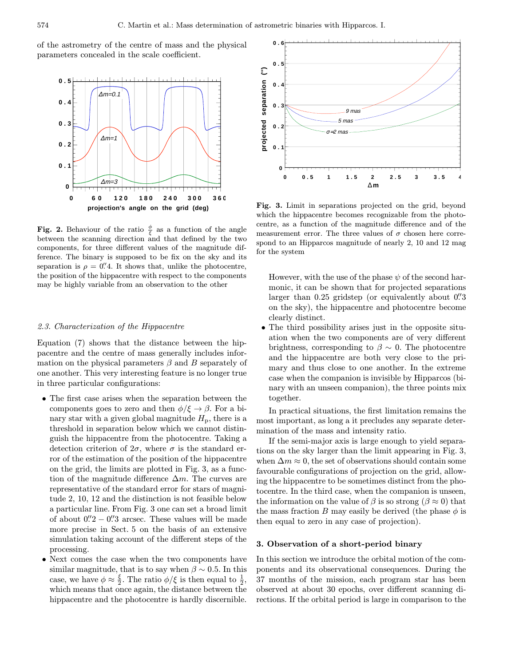of the astrometry of the centre of mass and the physical parameters concealed in the scale coefficient.



**Fig. 2.** Behaviour of the ratio  $\frac{\phi}{\xi}$  as a function of the angle between the scanning direction and that defined by the two components, for three different values of the magnitude difference. The binary is supposed to be fix on the sky and its separation is  $\rho = 0$ . It shows that, unlike the photocentre, the position of the hippacentre with respect to the components may be highly variable from an observation to the other

#### 2.3. Characterization of the Hippacentre

Equation (7) shows that the distance between the hippacentre and the centre of mass generally includes information on the physical parameters  $\beta$  and B separately of one another. This very interesting feature is no longer true in three particular configurations:

- The first case arises when the separation between the components goes to zero and then  $\phi/\xi \rightarrow \beta$ . For a binary star with a given global magnitude  $H<sub>p</sub>$ , there is a threshold in separation below which we cannot distinguish the hippacentre from the photocentre. Taking a detection criterion of  $2\sigma$ , where  $\sigma$  is the standard error of the estimation of the position of the hippacentre on the grid, the limits are plotted in Fig. 3, as a function of the magnitude difference  $\Delta m$ . The curves are representative of the standard error for stars of magnitude 2, 10, 12 and the distinction is not feasible below a particular line. From Fig. 3 one can set a broad limit of about  $0\rlap{.}^{\prime\prime}2 - 0\rlap{.}^{\prime\prime}3$  arcsec. These values will be made more precise in Sect. 5 on the basis of an extensive simulation taking account of the different steps of the processing.
- Next comes the case when the two components have similar magnitude, that is to say when  $\beta \sim 0.5$ . In this case, we have  $\phi \approx \frac{\xi}{2}$ . The ratio  $\phi/\xi$  is then equal to  $\frac{1}{2}$ , which means that once again, the distance between the hippacentre and the photocentre is hardly discernible.



Fig. 3. Limit in separations projected on the grid, beyond which the hippacentre becomes recognizable from the photocentre, as a function of the magnitude difference and of the measurement error. The three values of  $\sigma$  chosen here correspond to an Hipparcos magnitude of nearly 2, 10 and 12 mag for the system

However, with the use of the phase  $\psi$  of the second harmonic, it can be shown that for projected separations larger than  $0.25$  gridstep (or equivalently about  $0\rlap{.}^{\prime\prime}3$ on the sky), the hippacentre and photocentre become clearly distinct.

• The third possibility arises just in the opposite situation when the two components are of very different brightness, corresponding to  $\beta \sim 0$ . The photocentre and the hippacentre are both very close to the primary and thus close to one another. In the extreme case when the companion is invisible by Hipparcos (binary with an unseen companion), the three points mix together.

In practical situations, the first limitation remains the most important, as long a it precludes any separate determination of the mass and intensity ratio.

If the semi-major axis is large enough to yield separations on the sky larger than the limit appearing in Fig. 3, when  $\Delta m \approx 0$ , the set of observations should contain some favourable configurations of projection on the grid, allowing the hippacentre to be sometimes distinct from the photocentre. In the third case, when the companion is unseen, the information on the value of  $\beta$  is so strong ( $\beta \approx 0$ ) that the mass fraction B may easily be derived (the phase  $\phi$  is then equal to zero in any case of projection).

# 3. Observation of a short-period binary

In this section we introduce the orbital motion of the components and its observational consequences. During the 37 months of the mission, each program star has been observed at about 30 epochs, over different scanning directions. If the orbital period is large in comparison to the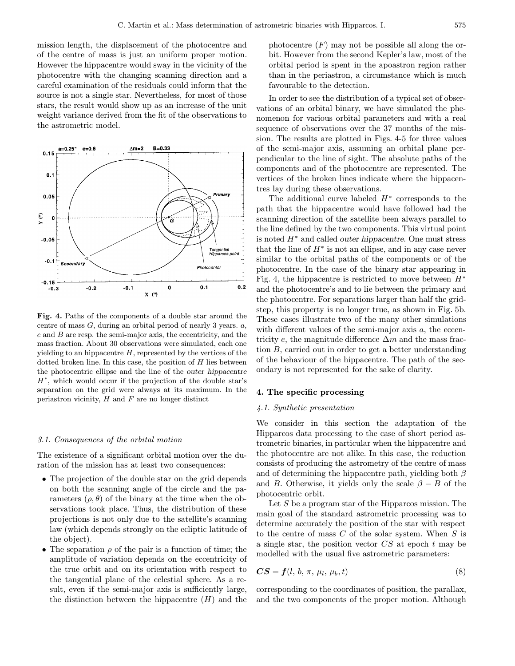mission length, the displacement of the photocentre and of the centre of mass is just an uniform proper motion. However the hippacentre would sway in the vicinity of the photocentre with the changing scanning direction and a careful examination of the residuals could inform that the source is not a single star. Nevertheless, for most of those stars, the result would show up as an increase of the unit weight variance derived from the fit of the observations to the astrometric model.



Fig. 4. Paths of the components of a double star around the centre of mass  $G$ , during an orbital period of nearly 3 years.  $a$ ,  $e$  and  $B$  are resp. the semi-major axis, the eccentricity, and the mass fraction. About 30 observations were simulated, each one yielding to an hippacentre  $H$ , represented by the vertices of the dotted broken line. In this case, the position of  $H$  lies between the photocentric ellipse and the line of the outer hippacentre  $H^*$ , which would occur if the projection of the double star's separation on the grid were always at its maximum. In the periastron vicinity,  $H$  and  $F$  are no longer distinct

#### 3.1. Consequences of the orbital motion

The existence of a significant orbital motion over the duration of the mission has at least two consequences:

- The projection of the double star on the grid depends on both the scanning angle of the circle and the parameters  $(\rho, \theta)$  of the binary at the time when the observations took place. Thus, the distribution of these projections is not only due to the satellite's scanning law (which depends strongly on the ecliptic latitude of the object).
- The separation  $\rho$  of the pair is a function of time; the amplitude of variation depends on the eccentricity of the true orbit and on its orientation with respect to the tangential plane of the celestial sphere. As a result, even if the semi-major axis is sufficiently large, the distinction between the hippacentre  $(H)$  and the

photocentre  $(F)$  may not be possible all along the orbit. However from the second Kepler's law, most of the orbital period is spent in the apoastron region rather than in the periastron, a circumstance which is much favourable to the detection.

In order to see the distribution of a typical set of observations of an orbital binary, we have simulated the phenomenon for various orbital parameters and with a real sequence of observations over the 37 months of the mission. The results are plotted in Figs. 4-5 for three values of the semi-major axis, assuming an orbital plane perpendicular to the line of sight. The absolute paths of the components and of the photocentre are represented. The vertices of the broken lines indicate where the hippacentres lay during these observations.

The additional curve labeled  $H^*$  corresponds to the path that the hippacentre would have followed had the scanning direction of the satellite been always parallel to the line defined by the two components. This virtual point is noted  $H^*$  and called *outer hippacentre*. One must stress that the line of  $H^*$  is not an ellipse, and in any case never similar to the orbital paths of the components or of the photocentre. In the case of the binary star appearing in Fig. 4, the hippacentre is restricted to move between  $H^*$ and the photocentre's and to lie between the primary and the photocentre. For separations larger than half the gridstep, this property is no longer true, as shown in Fig. 5b. These cases illustrate two of the many other simulations with different values of the semi-major axis  $a$ , the eccentricity e, the magnitude difference  $\Delta m$  and the mass fraction B, carried out in order to get a better understanding of the behaviour of the hippacentre. The path of the secondary is not represented for the sake of clarity.

# 4. The specific processing

#### 4.1. Synthetic presentation

We consider in this section the adaptation of the Hipparcos data processing to the case of short period astrometric binaries, in particular when the hippacentre and the photocentre are not alike. In this case, the reduction consists of producing the astrometry of the centre of mass and of determining the hippacentre path, yielding both  $\beta$ and B. Otherwise, it yields only the scale  $\beta - B$  of the photocentric orbit.

Let S be a program star of the Hipparcos mission. The main goal of the standard astrometric processing was to determine accurately the position of the star with respect to the centre of mass  $C$  of the solar system. When  $S$  is a single star, the position vector  $CS$  at epoch t may be modelled with the usual five astrometric parameters:

$$
CS = f(l, b, \pi, \mu_l, \mu_b, t) \tag{8}
$$

corresponding to the coordinates of position, the parallax, and the two components of the proper motion. Although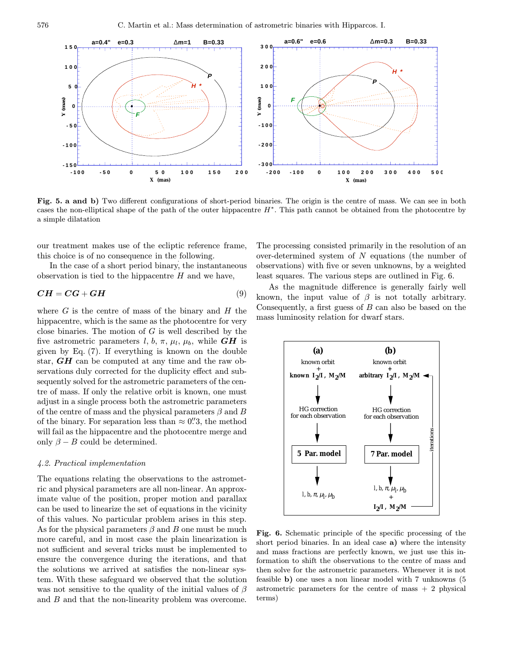

Fig. 5. a and b) Two different configurations of short-period binaries. The origin is the centre of mass. We can see in both cases the non-elliptical shape of the path of the outer hippacentre  $H^*$ . This path cannot be obtained from the photocentre by a simple dilatation

our treatment makes use of the ecliptic reference frame, this choice is of no consequence in the following.

In the case of a short period binary, the instantaneous observation is tied to the hippacentre  $H$  and we have,

$$
CH = CG + GH \tag{9}
$$

where  $G$  is the centre of mass of the binary and  $H$  the hippacentre, which is the same as the photocentre for very close binaries. The motion of  $G$  is well described by the five astrometric parameters l, b,  $\pi$ ,  $\mu_l$ ,  $\mu_b$ , while **GH** is given by Eq. (7). If everything is known on the double star,  $GH$  can be computed at any time and the raw observations duly corrected for the duplicity effect and subsequently solved for the astrometric parameters of the centre of mass. If only the relative orbit is known, one must adjust in a single process both the astrometric parameters of the centre of mass and the physical parameters  $\beta$  and B of the binary. For separation less than  $\approx 0\rlap{.}^{\prime\prime}3$ , the method will fail as the hippacentre and the photocentre merge and only  $\beta - B$  could be determined.

#### 4.2. Practical implementation

The equations relating the observations to the astrometric and physical parameters are all non-linear. An approximate value of the position, proper motion and parallax can be used to linearize the set of equations in the vicinity of this values. No particular problem arises in this step. As for the physical parameters  $\beta$  and B one must be much more careful, and in most case the plain linearization is not sufficient and several tricks must be implemented to ensure the convergence during the iterations, and that the solutions we arrived at satisfies the non-linear system. With these safeguard we observed that the solution was not sensitive to the quality of the initial values of  $\beta$ and B and that the non-linearity problem was overcome.

The processing consisted primarily in the resolution of an over-determined system of N equations (the number of observations) with five or seven unknowns, by a weighted least squares. The various steps are outlined in Fig. 6.

As the magnitude difference is generally fairly well known, the input value of  $\beta$  is not totally arbitrary. Consequently, a first guess of  $B$  can also be based on the mass luminosity relation for dwarf stars.



Fig. 6. Schematic principle of the specific processing of the short period binaries. In an ideal case a) where the intensity and mass fractions are perfectly known, we just use this information to shift the observations to the centre of mass and then solve for the astrometric parameters. Whenever it is not feasible b) one uses a non linear model with 7 unknowns (5 astrometric parameters for the centre of mass  $+2$  physical terms)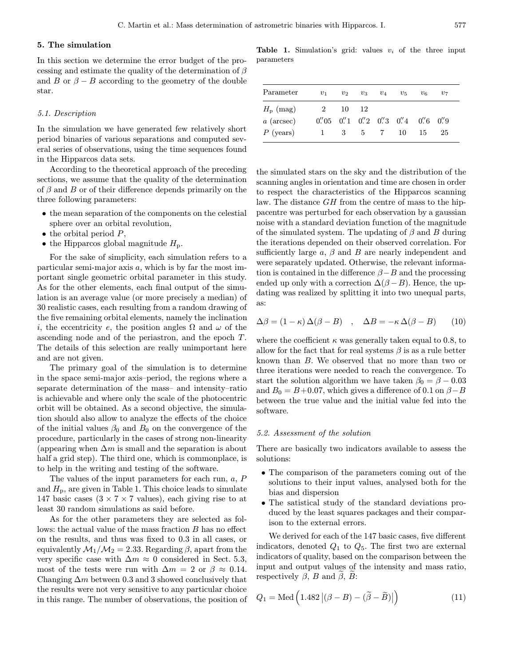## 5. The simulation

In this section we determine the error budget of the processing and estimate the quality of the determination of  $\beta$ and B or  $\beta - B$  according to the geometry of the double star.

#### 5.1. Description

In the simulation we have generated few relatively short period binaries of various separations and computed several series of observations, using the time sequences found in the Hipparcos data sets.

According to the theoretical approach of the preceding sections, we assume that the quality of the determination of  $\beta$  and  $B$  or of their difference depends primarily on the three following parameters:

- the mean separation of the components on the celestial sphere over an orbital revolution,
- $\bullet$  the orbital period  $P$ ,
- the Hipparcos global magnitude  $H<sub>p</sub>$ .

For the sake of simplicity, each simulation refers to a particular semi-major axis  $a$ , which is by far the most important single geometric orbital parameter in this study. As for the other elements, each final output of the simulation is an average value (or more precisely a median) of 30 realistic cases, each resulting from a random drawing of the five remaining orbital elements, namely the inclination i, the eccentricity e, the position angles  $\Omega$  and  $\omega$  of the ascending node and of the periastron, and the epoch T. The details of this selection are really unimportant here and are not given.

The primary goal of the simulation is to determine in the space semi-major axis–period, the regions where a separate determination of the mass– and intensity–ratio is achievable and where only the scale of the photocentric orbit will be obtained. As a second objective, the simulation should also allow to analyze the effects of the choice of the initial values  $\beta_0$  and  $B_0$  on the convergence of the procedure, particularly in the cases of strong non-linearity (appearing when  $\Delta m$  is small and the separation is about half a grid step). The third one, which is commonplace, is to help in the writing and testing of the software.

The values of the input parameters for each run, a, P and  $H_p$ , are given in Table 1. This choice leads to simulate 147 basic cases  $(3 \times 7 \times 7$  values), each giving rise to at least 30 random simulations as said before.

As for the other parameters they are selected as follows: the actual value of the mass fraction B has no effect on the results, and thus was fixed to 0.3 in all cases, or equivalently  $\mathcal{M}_1/\mathcal{M}_2 = 2.33$ . Regarding  $\beta$ , apart from the very specific case with  $\Delta m \approx 0$  considered in Sect. 5.3, most of the tests were run with  $\Delta m = 2$  or  $\beta \approx 0.14$ . Changing  $\Delta m$  between 0.3 and 3 showed conclusively that the results were not very sensitive to any particular choice in this range. The number of observations, the position of

**Table 1.** Simulation's grid: values  $v_i$  of the three input parameters

| Parameter            | $v_1$ | $v_2$   | $v_3$ | $v_4$ | $v_{5}$                                                                                                   | $v_{6}$ | $v_7$ |  |
|----------------------|-------|---------|-------|-------|-----------------------------------------------------------------------------------------------------------|---------|-------|--|
| $H_{\rm p}$ (mag)    | 2     | 10      | - 12  |       |                                                                                                           |         |       |  |
| $a \text{ (arcsec)}$ |       |         |       |       | $0\rlap.{''}05$ $0\rlap.{''}1$ $0\rlap.{''}2$ $0\rlap.{''}3$ $0\rlap.{''}4$ $0\rlap.{''}6$ $0\rlap.{''}9$ |         |       |  |
| $P$ (years)          |       | 1 3 5 7 |       |       | -10                                                                                                       | 15      | 25    |  |
|                      |       |         |       |       |                                                                                                           |         |       |  |

the simulated stars on the sky and the distribution of the scanning angles in orientation and time are chosen in order to respect the characteristics of the Hipparcos scanning law. The distance GH from the centre of mass to the hippacentre was perturbed for each observation by a gaussian noise with a standard deviation function of the magnitude of the simulated system. The updating of  $\beta$  and B during the iterations depended on their observed correlation. For sufficiently large  $\alpha$ ,  $\beta$  and  $B$  are nearly independent and were separately updated. Otherwise, the relevant information is contained in the difference  $\beta - B$  and the processing ended up only with a correction  $\Delta(\beta - B)$ . Hence, the updating was realized by splitting it into two unequal parts, as:

$$
\Delta \beta = (1 - \kappa) \Delta(\beta - B) \quad , \quad \Delta B = -\kappa \Delta(\beta - B) \tag{10}
$$

where the coefficient  $\kappa$  was generally taken equal to 0.8, to allow for the fact that for real systems  $\beta$  is as a rule better known than B. We observed that no more than two or three iterations were needed to reach the convergence. To start the solution algorithm we have taken  $\beta_0 = \beta - 0.03$ and  $B_0 = B + 0.07$ , which gives a difference of 0.1 on  $\beta - B$ between the true value and the initial value fed into the software.

#### 5.2. Assessment of the solution

There are basically two indicators available to assess the solutions:

- The comparison of the parameters coming out of the solutions to their input values, analysed both for the bias and dispersion
- The satistical study of the standard deviations produced by the least squares packages and their comparison to the external errors.

We derived for each of the 147 basic cases, five different indicators, denoted  $Q_1$  to  $Q_5$ . The first two are external indicators of quality, based on the comparison between the input and output values of the intensity and mass ratio, respectively  $\beta$ , B and  $\beta$ , B:

$$
Q_1 = \text{Med}\left(1.482 \left| (\beta - B) - (\tilde{\beta} - \tilde{B}) \right| \right) \tag{11}
$$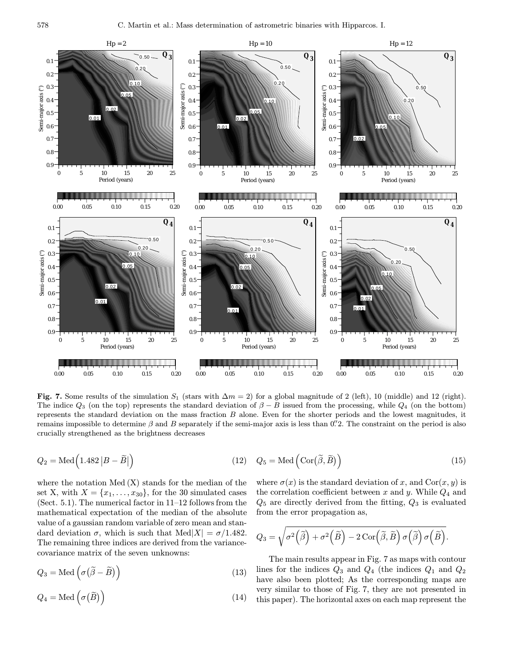

Fig. 7. Some results of the simulation  $S_1$  (stars with  $\Delta m = 2$ ) for a global magnitude of 2 (left), 10 (middle) and 12 (right). The indice  $Q_3$  (on the top) represents the standard deviation of  $\beta - B$  issued from the processing, while  $Q_4$  (on the bottom) represents the standard deviation on the mass fraction  $B$  alone. Even for the shorter periods and the lowest magnitudes, it remains impossible to determine  $\beta$  and B separately if the semi-major axis is less than 0. The constraint on the period is also crucially strengthened as the brightness decreases

$$
Q_2 = \text{Med}\left(1.482 \left| B - \tilde{B} \right|\right) \tag{12}
$$

where the notation  $Med(X)$  stands for the median of the set X, with  $X = \{x_1, \ldots, x_{30}\}\,$  for the 30 simulated cases (Sect. 5.1). The numerical factor in 11–12 follows from the mathematical expectation of the median of the absolute value of a gaussian random variable of zero mean and standard deviation  $\sigma$ , which is such that Med $|X| = \sigma/1.482$ . The remaining three indices are derived from the variancecovariance matrix of the seven unknowns:

$$
Q_3 = \text{Med}\left(\sigma\left(\widetilde{\beta} - \widetilde{B}\right)\right) \tag{13}
$$

$$
Q_4 = \text{Med}\left(\sigma\big(\widetilde{B}\big)\right) \tag{14}
$$

$$
Q_5 = \text{Med}\left(\text{Cor}(\widetilde{\beta}, \widetilde{B})\right) \tag{15}
$$

where  $\sigma(x)$  is the standard deviation of x, and  $Cor(x, y)$  is the correlation coefficient between  $x$  and  $y$ . While  $Q_4$  and  $Q_5$  are directly derived from the fitting,  $Q_3$  is evaluated from the error propagation as,

$$
Q_3 = \sqrt{\sigma^2\left(\widetilde{\beta}\right) + \sigma^2\left(\widetilde{B}\right) - 2\,\text{Cor}\left(\widetilde{\beta}, \widetilde{B}\right)\sigma\left(\widetilde{\beta}\right)\sigma\left(\widetilde{B}\right)}.
$$

The main results appear in Fig. 7 as maps with contour lines for the indices  $Q_3$  and  $Q_4$  (the indices  $Q_1$  and  $Q_2$ ) have also been plotted; As the corresponding maps are very similar to those of Fig. 7, they are not presented in this paper). The horizontal axes on each map represent the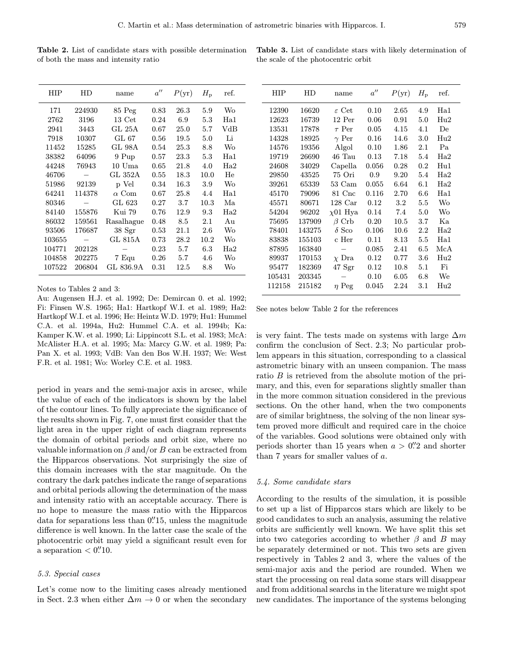Table 2. List of candidate stars with possible determination of both the mass and intensity ratio

Table 3. List of candidate stars with likely determination of the scale of the photocentric orbit

| HIP    | HD     | name             | $a^{\prime\prime}$ | $P(\text{yr})$ | $H_{\rm p}$ | ref.         |
|--------|--------|------------------|--------------------|----------------|-------------|--------------|
| 171    | 224930 | 85 Peg           | 0.83               | 26.3           | 5.9         | Wo           |
| 2762   | 3196   | $13 \text{ Cet}$ | 0.24               | 6.9            | 5.3         | Ha1          |
| 2941   | 3443   | GL 25A           | 0.67               | 25.0           | 5.7         | $_{\rm VdB}$ |
| 7918   | 10307  | GL 67            | 0.56               | 19.5           | 5.0         | Li           |
| 11452  | 15285  | GL 98A           | 0.54               | 25.3           | 8.8         | Wo           |
| 38382  | 64096  | 9 Pup            | 0.57               | 23.3           | 5.3         | Ha1          |
| 44248  | 76943  | $10$ Uma         | 0.65               | 21.8           | 4.0         | Ha2          |
| 46706  |        | GL 352A          | 0.55               | 18.3           | 10.0        | He           |
| 51986  | 92139  | p Vel            | 0.34               | 16.3           | 3.9         | Wo           |
| 64241  | 114378 | $\alpha$ Com     | 0.67               | 25.8           | 4.4         | Ha1          |
| 80346  |        | GL 623           | 0.27               | 3.7            | 10.3        | Ma           |
| 84140  | 155876 | Kui 79           | 0.76               | 12.9           | 9.3         | Ha2          |
| 86032  | 159561 | Rasalhague       | 0.48               | 8.5            | 2.1         | Au           |
| 93506  | 176687 | 38 <sub>ST</sub> | 0.53               | 21.1           | 2.6         | Wo           |
| 103655 |        | GL 815A          | 0.73               | 28.2           | 10.2        | Wo           |
| 104771 | 202128 |                  | 0.23               | 5.7            | 6.3         | Ha2          |
| 104858 | 202275 | 7 Equ            | 0.26               | 5.7            | 4.6         | Wo           |
| 107522 | 206804 | GL 836.9A        | 0.31               | 12.5           | 8.8         | Wo           |

Notes to Tables 2 and 3:

Au: Augensen H.J. et al. 1992; De: Demircan 0. et al. 1992; Fi: Finsen W.S. 1965; Ha1: Hartkopf W.I. et al. 1989; Ha2: Hartkopf W.I. et al. 1996; He: Heintz W.D. 1979; Hu1: Hummel C.A. et al. 1994a, Hu2: Hummel C.A. et al. 1994b; Ka: Kamper K.W. et al. 1990; Li: Lippincott S.L. et al. 1983; McA: McAlister H.A. et al. 1995; Ma: Marcy G.W. et al. 1989; Pa: Pan X. et al. 1993; VdB: Van den Bos W.H. 1937; We: West F.R. et al. 1981; Wo: Worley C.E. et al. 1983.

period in years and the semi-major axis in arcsec, while the value of each of the indicators is shown by the label of the contour lines. To fully appreciate the significance of the results shown in Fig. 7, one must first consider that the light area in the upper right of each diagram represents the domain of orbital periods and orbit size, where no valuable information on  $\beta$  and/or B can be extracted from the Hipparcos observations. Not surprisingly the size of this domain increases with the star magnitude. On the contrary the dark patches indicate the range of separations and orbital periods allowing the determination of the mass and intensity ratio with an acceptable accuracy. There is no hope to measure the mass ratio with the Hipparcos data for separations less than  $0''$ 15, unless the magnitude difference is well known. In the latter case the scale of the photocentric orbit may yield a significant result even for a separation  $< 0.^{\prime\prime}10$ .

# 5.3. Special cases

Let's come now to the limiting cases already mentioned in Sect. 2.3 when either  $\Delta m \to 0$  or when the secondary

| HIP    | HD     | name              | $a^{\prime\prime}$ | $P(\text{yr})$ | $H_{\rm p}$ | ref.         |
|--------|--------|-------------------|--------------------|----------------|-------------|--------------|
| 12390  | 16620  | $\varepsilon$ Cet | 0.10               | 2.65           | 4.9         | Ha1          |
| 12623  | 16739  | 12 Per            | 0.06               | 0.91           | 5.0         | Hu2          |
| 13531  | 17878  | $\tau$ Per        | 0.05               | 4.15           | 4.1         | De           |
| 14328  | 18925  | $\gamma$ Per      | 0.16               | 14.6           | 3.0         | $_{\rm Hu2}$ |
| 14576  | 19356  | Algol             | 0.10               | 1.86           | $2.1\,$     | Pa           |
| 19719  | 26690  | 46 Tau            | 0.13               | 7.18           | 5.4         | Ha2          |
| 24608  | 34029  | Capella           | 0.056              | 0.28           | 0.2         | $_{\rm Hu1}$ |
| 29850  | 43525  | 75 Ori            | 0.9                | 9.20           | 5.4         | Ha2          |
| 39261  | 65339  | 53 Cam            | 0.055              | 6.64           | 6.1         | Ha2          |
| 45170  | 79096  | 81 Cnc            | 0.116              | 2.70           | 6.6         | Ha1          |
| 45571  | 80671  | $128 \text{ Car}$ | 0.12               | 3.2            | 5.5         | <b>Wo</b>    |
| 54204  | 96202  | $\chi$ 01 Hya     | 0.14               | 7.4            | 5.0         | Wo           |
| 75695  | 137909 | $\beta$ Crb       | 0.20               | 10.5           | 3.7         | Ka           |
| 78401  | 143275 | $\delta$ Sco      | 0.106              | 10.6           | 2.2         | Ha2          |
| 83838  | 155103 | c Her             | 0.11               | 8.13           | 5.5         | Ha1          |
| 87895  | 163840 |                   | 0.085              | 2.41           | 6.5         | McA          |
| 89937  | 170153 | $\chi$ Dra        | 0.12               | 0.77           | $3.6\,$     | Hu2          |
| 95477  | 182369 | 47 Sgr            | 0.12               | 10.8           | 5.1         | Fi           |
| 105431 | 203345 |                   | 0.10               | 6.05           | 6.8         | We           |
| 112158 | 215182 | $\eta$ Peg        | 0.045              | 2.24           | 3.1         | $_{\rm Hu2}$ |

See notes below Table 2 for the references

is very faint. The tests made on systems with large  $\Delta m$ confirm the conclusion of Sect. 2.3; No particular problem appears in this situation, corresponding to a classical astrometric binary with an unseen companion. The mass ratio B is retrieved from the absolute motion of the primary, and this, even for separations slightly smaller than in the more common situation considered in the previous sections. On the other hand, when the two components are of similar brightness, the solving of the non linear system proved more difficult and required care in the choice of the variables. Good solutions were obtained only with periods shorter than 15 years when  $a > 0$ . 2 and shorter than 7 years for smaller values of a.

#### 5.4. Some candidate stars

According to the results of the simulation, it is possible to set up a list of Hipparcos stars which are likely to be good candidates to such an analysis, assuming the relative orbits are sufficiently well known. We have split this set into two categories according to whether  $\beta$  and B may be separately determined or not. This two sets are given respectively in Tables 2 and 3, where the values of the semi-major axis and the period are rounded. When we start the processing on real data some stars will disappear and from additional searchs in the literature we might spot new candidates. The importance of the systems belonging